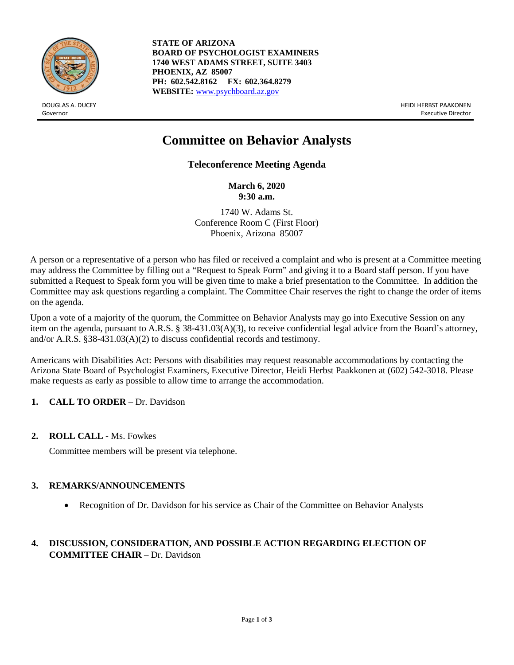

**STATE OF ARIZONA BOARD OF PSYCHOLOGIST EXAMINERS 1740 WEST ADAMS STREET, SUITE 3403 PHOENIX, AZ 85007 PH: 602.542.8162 FX: 602.364.8279 WEBSITE:** [www.psychboard.az.gov](http://www.psychboard.az.gov/)

DOUGLAS A. DUCEY HEIDI HERBST PAAKONEN Governor Executive Director

# **Committee on Behavior Analysts**

**Teleconference Meeting Agenda**

**March 6, 2020 9:30 a.m.**

1740 W. Adams St. Conference Room C (First Floor) Phoenix, Arizona 85007

A person or a representative of a person who has filed or received a complaint and who is present at a Committee meeting may address the Committee by filling out a "Request to Speak Form" and giving it to a Board staff person. If you have submitted a Request to Speak form you will be given time to make a brief presentation to the Committee. In addition the Committee may ask questions regarding a complaint. The Committee Chair reserves the right to change the order of items on the agenda.

Upon a vote of a majority of the quorum, the Committee on Behavior Analysts may go into Executive Session on any item on the agenda, pursuant to A.R.S. § 38-431.03(A)(3), to receive confidential legal advice from the Board's attorney, and/or A.R.S. §38-431.03(A)(2) to discuss confidential records and testimony.

Americans with Disabilities Act: Persons with disabilities may request reasonable accommodations by contacting the Arizona State Board of Psychologist Examiners, Executive Director, Heidi Herbst Paakkonen at (602) 542-3018. Please make requests as early as possible to allow time to arrange the accommodation.

# **1. CALL TO ORDER** – Dr. Davidson

# **2. ROLL CALL -** Ms. Fowkes

Committee members will be present via telephone.

# **3. REMARKS/ANNOUNCEMENTS**

• Recognition of Dr. Davidson for his service as Chair of the Committee on Behavior Analysts

# **4. DISCUSSION, CONSIDERATION, AND POSSIBLE ACTION REGARDING ELECTION OF COMMITTEE CHAIR** – Dr. Davidson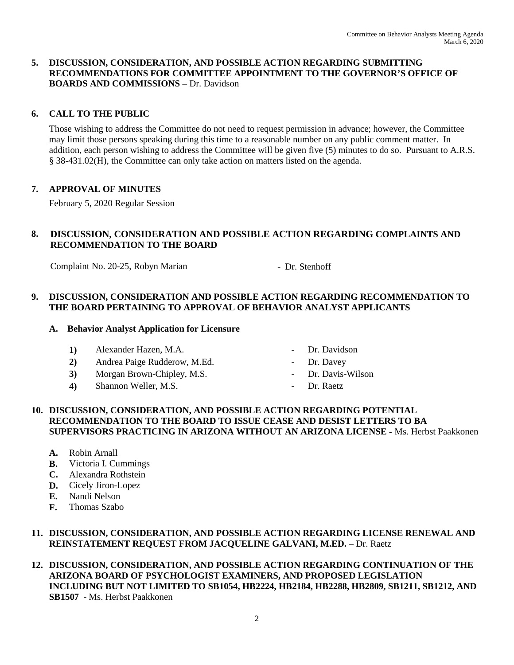# **5. DISCUSSION, CONSIDERATION, AND POSSIBLE ACTION REGARDING SUBMITTING RECOMMENDATIONS FOR COMMITTEE APPOINTMENT TO THE GOVERNOR'S OFFICE OF BOARDS AND COMMISSIONS** – Dr. Davidson

# **6. CALL TO THE PUBLIC**

Those wishing to address the Committee do not need to request permission in advance; however, the Committee may limit those persons speaking during this time to a reasonable number on any public comment matter. In addition, each person wishing to address the Committee will be given five (5) minutes to do so. Pursuant to A.R.S. § 38-431.02(H), the Committee can only take action on matters listed on the agenda.

# **7. APPROVAL OF MINUTES**

February 5, 2020 Regular Session

# **8. DISCUSSION, CONSIDERATION AND POSSIBLE ACTION REGARDING COMPLAINTS AND RECOMMENDATION TO THE BOARD**

Complaint No. 20-25, Robyn Marian - Dr. Stenhoff

# **9. DISCUSSION, CONSIDERATION AND POSSIBLE ACTION REGARDING RECOMMENDATION TO THE BOARD PERTAINING TO APPROVAL OF BEHAVIOR ANALYST APPLICANTS**

#### **A. Behavior Analyst Application for Licensure**

- 1) Alexander Hazen, M.A. Dr. Davidson
- 2) Andrea Paige Rudderow, M.Ed. Dr. Davey
- 3) Morgan Brown-Chipley, M.S. Dr. Davis-Wilson
- **4)** Shannon Weller, M.S.  **Dr. Raetz**
- 
- 
- -

#### **10. DISCUSSION, CONSIDERATION, AND POSSIBLE ACTION REGARDING POTENTIAL RECOMMENDATION TO THE BOARD TO ISSUE CEASE AND DESIST LETTERS TO BA SUPERVISORS PRACTICING IN ARIZONA WITHOUT AN ARIZONA LICENSE -** Ms. Herbst Paakkonen

- **A.** Robin Arnall
- **B.** Victoria I. Cummings
- **C.** Alexandra Rothstein
- **D.** Cicely Jiron-Lopez
- **E.** Nandi Nelson
- **F.** Thomas Szabo

# **11. DISCUSSION, CONSIDERATION, AND POSSIBLE ACTION REGARDING LICENSE RENEWAL AND REINSTATEMENT REQUEST FROM JACQUELINE GALVANI, M.ED.** – Dr. Raetz

**12. DISCUSSION, CONSIDERATION, AND POSSIBLE ACTION REGARDING CONTINUATION OF THE ARIZONA BOARD OF PSYCHOLOGIST EXAMINERS, AND PROPOSED LEGISLATION INCLUDING BUT NOT LIMITED TO SB1054, HB2224, HB2184, HB2288, HB2809, SB1211, SB1212, AND SB1507** - Ms. Herbst Paakkonen